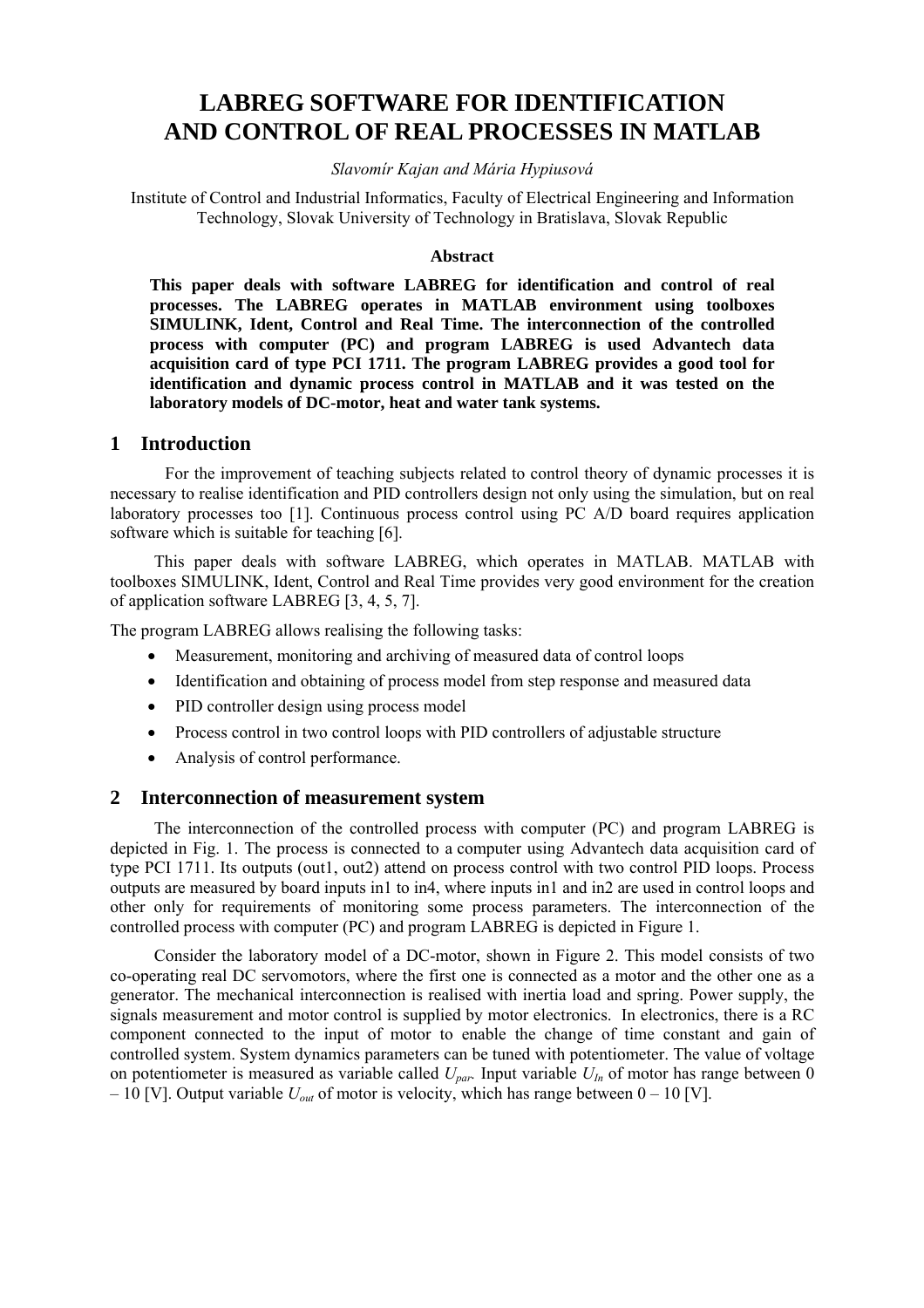# **LABREG SOFTWARE FOR IDENTIFICATION AND CONTROL OF REAL PROCESSES IN MATLAB**

#### *Slavomír Kajan and Mária Hypiusová*

Institute of Control and Industrial Informatics, Faculty of Electrical Engineering and Information Technology, Slovak University of Technology in Bratislava, Slovak Republic

#### **Abstract**

**This paper deals with software LABREG for identification and control of real processes. The LABREG operates in MATLAB environment using toolboxes SIMULINK, Ident, Control and Real Time. The interconnection of the controlled process with computer (PC) and program LABREG is used Advantech data acquisition card of type PCI 1711. The program LABREG provides a good tool for identification and dynamic process control in MATLAB and it was tested on the laboratory models of DC-motor, heat and water tank systems.** 

### **1 Introduction**

 For the improvement of teaching subjects related to control theory of dynamic processes it is necessary to realise identification and PID controllers design not only using the simulation, but on real laboratory processes too [1]. Continuous process control using PC A/D board requires application software which is suitable for teaching [6].

This paper deals with software LABREG, which operates in MATLAB. MATLAB with toolboxes SIMULINK, Ident, Control and Real Time provides very good environment for the creation of application software LABREG [3, 4, 5, 7].

The program LABREG allows realising the following tasks:

- Measurement, monitoring and archiving of measured data of control loops
- Identification and obtaining of process model from step response and measured data
- PID controller design using process model
- Process control in two control loops with PID controllers of adjustable structure
- Analysis of control performance.

## **2 Interconnection of measurement system**

The interconnection of the controlled process with computer (PC) and program LABREG is depicted in Fig. 1. The process is connected to a computer using Advantech data acquisition card of type PCI 1711. Its outputs (out1, out2) attend on process control with two control PID loops. Process outputs are measured by board inputs in1 to in4, where inputs in1 and in2 are used in control loops and other only for requirements of monitoring some process parameters. The interconnection of the controlled process with computer (PC) and program LABREG is depicted in Figure 1.

Consider the laboratory model of a DC-motor, shown in Figure 2. This model consists of two co-operating real DC servomotors, where the first one is connected as a motor and the other one as a generator. The mechanical interconnection is realised with inertia load and spring. Power supply, the signals measurement and motor control is supplied by motor electronics. In electronics, there is a RC component connected to the input of motor to enable the change of time constant and gain of controlled system. System dynamics parameters can be tuned with potentiometer. The value of voltage on potentiometer is measured as variable called *Upar.* Input variable *UIn* of motor has range between 0  $-10$  [V]. Output variable  $U_{out}$  of motor is velocity, which has range between  $0-10$  [V].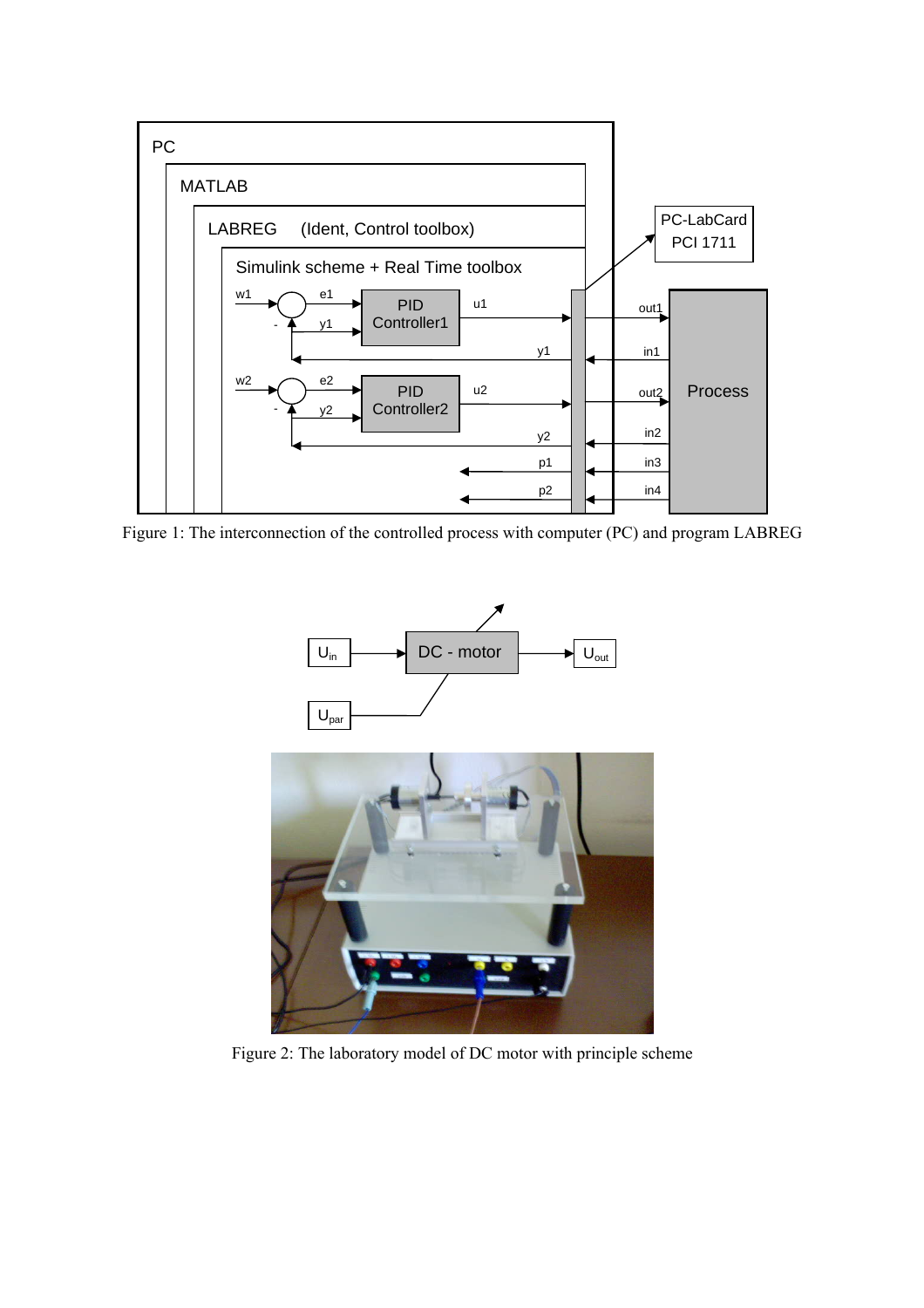

Figure 1: The interconnection of the controlled process with computer (PC) and program LABREG





Figure 2: The laboratory model of DC motor with principle scheme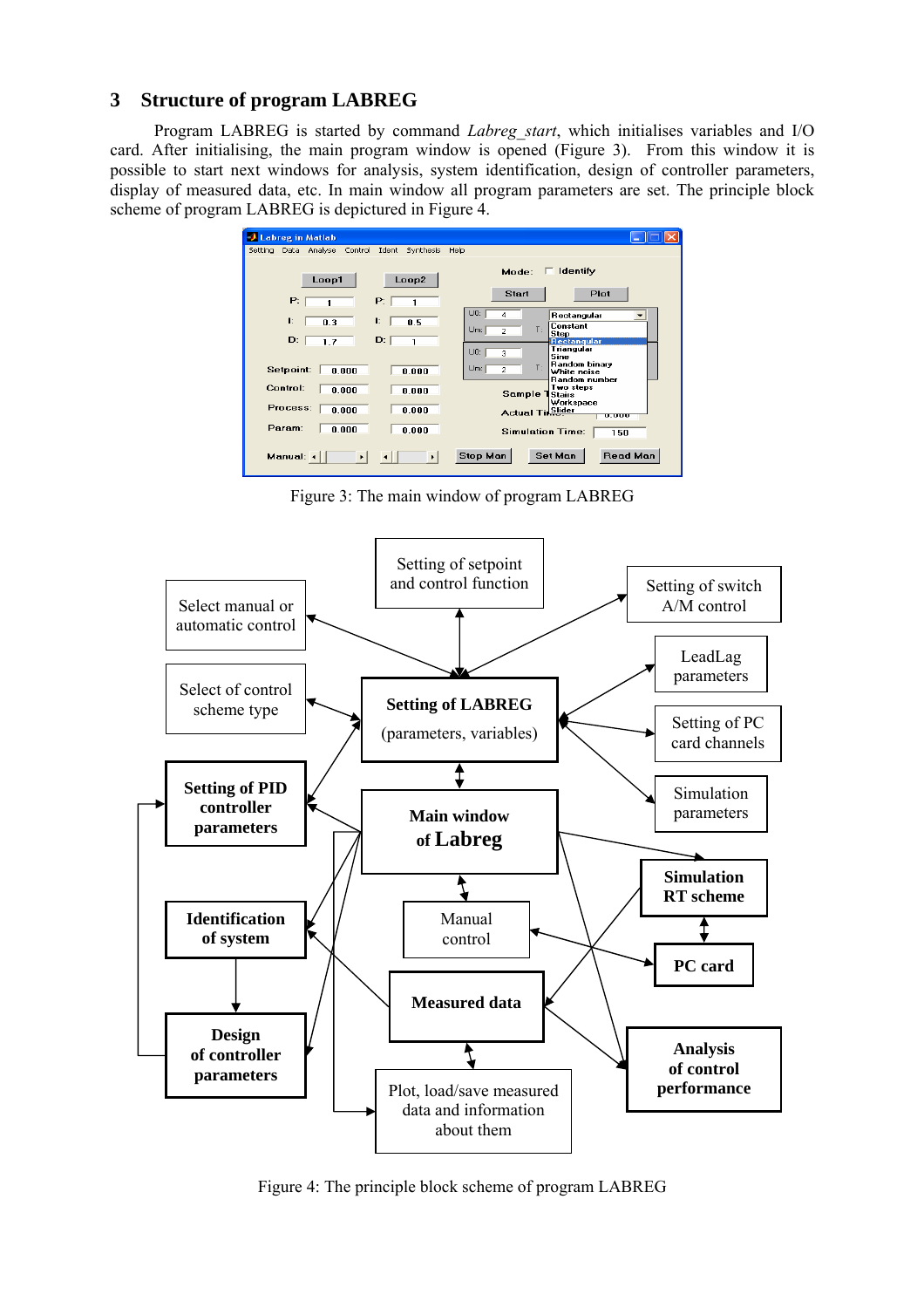## **3 Structure of program LABREG**

Program LABREG is started by command *Labreg\_start*, which initialises variables and I/O card. After initialising, the main program window is opened (Figure 3). From this window it is possible to start next windows for analysis, system identification, design of controller parameters, display of measured data, etc. In main window all program parameters are set. The principle block scheme of program LABREG is depictured in Figure 4.



Figure 3: The main window of program LABREG



Figure 4: The principle block scheme of program LABREG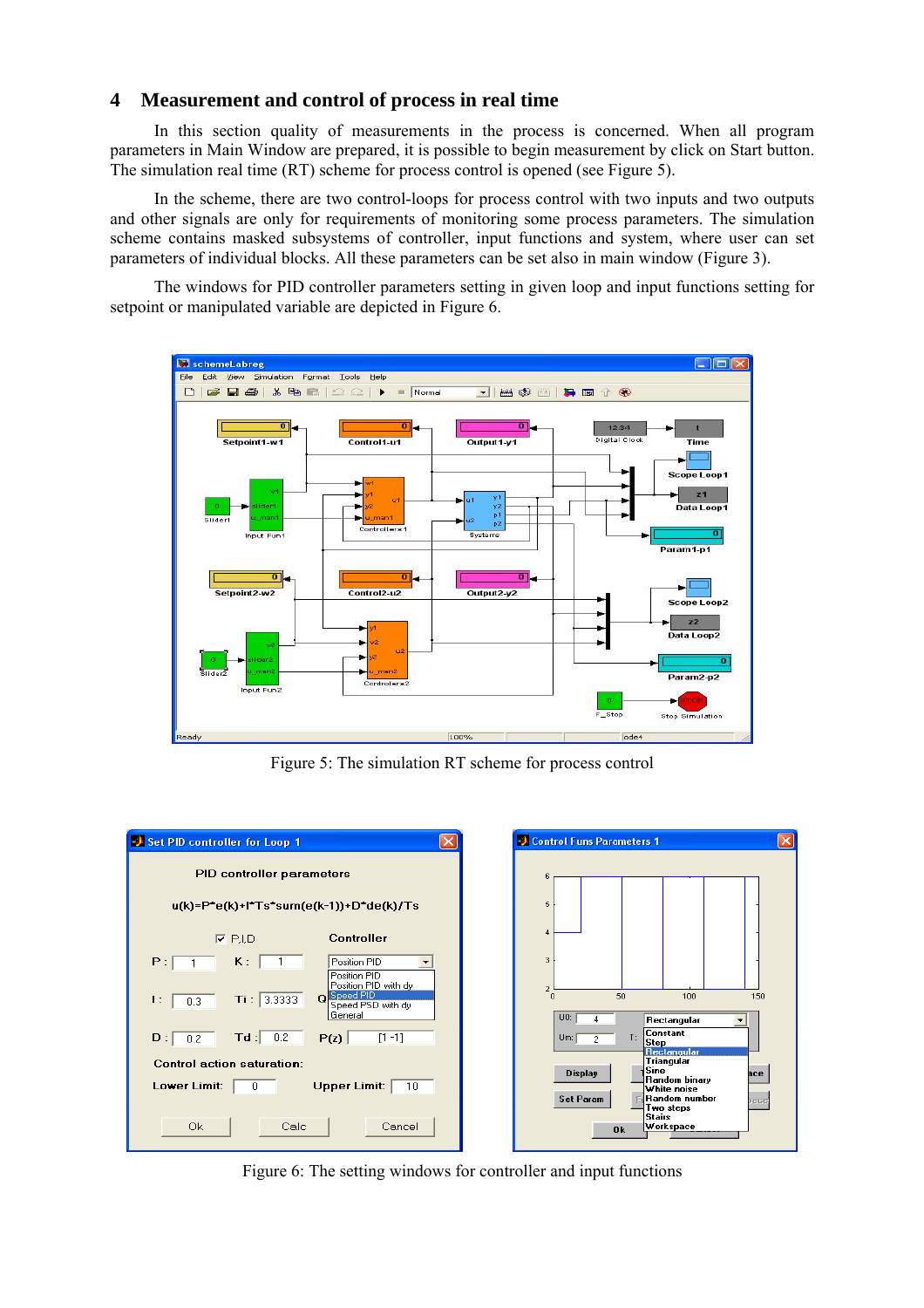# **4 Measurement and control of process in real time**

In this section quality of measurements in the process is concerned. When all program parameters in Main Window are prepared, it is possible to begin measurement by click on Start button. The simulation real time (RT) scheme for process control is opened (see Figure 5).

In the scheme, there are two control-loops for process control with two inputs and two outputs and other signals are only for requirements of monitoring some process parameters. The simulation scheme contains masked subsystems of controller, input functions and system, where user can set parameters of individual blocks. All these parameters can be set also in main window (Figure 3).

The windows for PID controller parameters setting in given loop and input functions setting for setpoint or manipulated variable are depicted in Figure 6.



Figure 5: The simulation RT scheme for process control



Figure 6: The setting windows for controller and input functions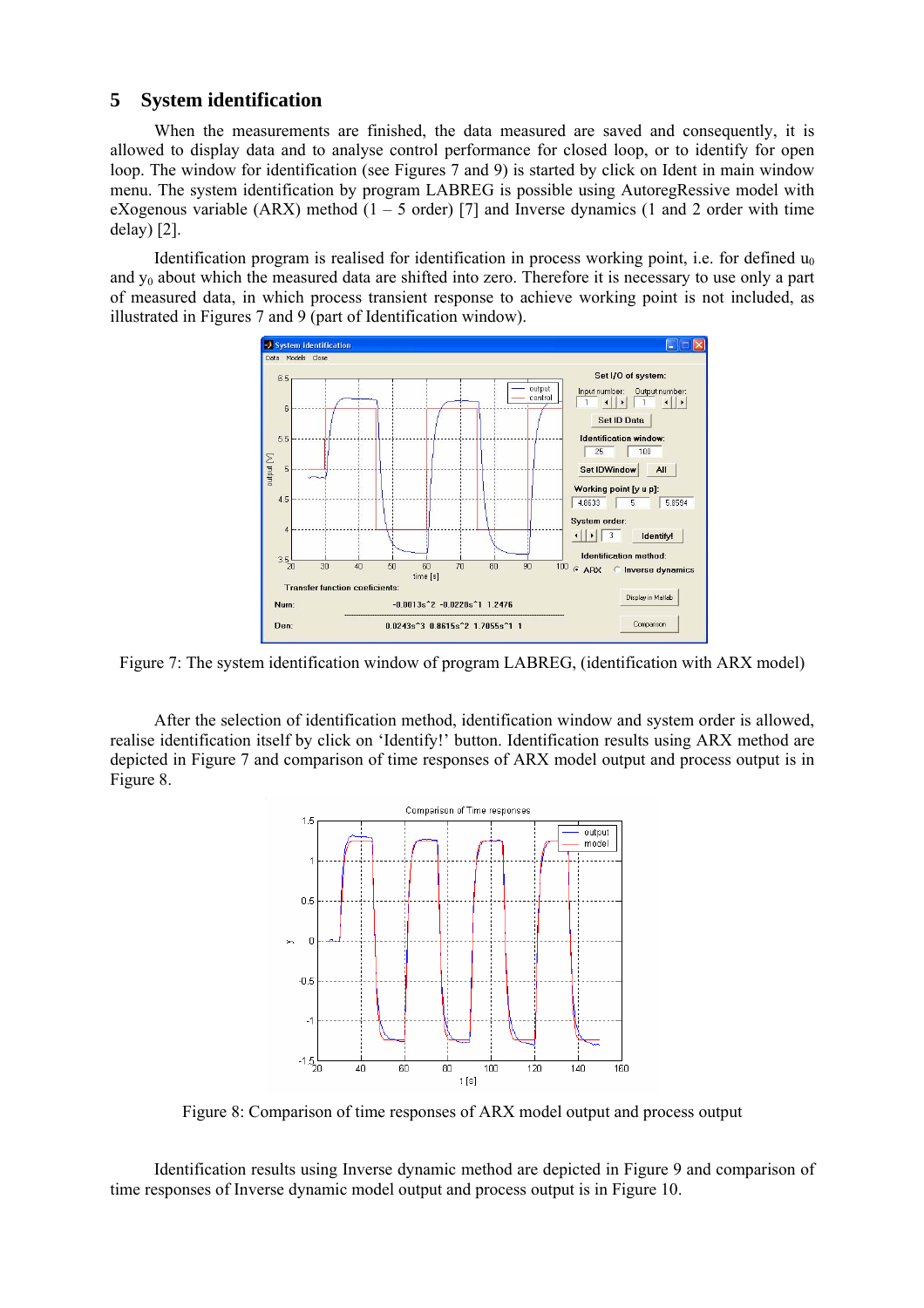## **5 System identification**

When the measurements are finished, the data measured are saved and consequently, it is allowed to display data and to analyse control performance for closed loop, or to identify for open loop. The window for identification (see Figures 7 and 9) is started by click on Ident in main window menu. The system identification by program LABREG is possible using AutoregRessive model with eXogenous variable (ARX) method  $(1 - 5 \text{ order})$  [7] and Inverse dynamics (1 and 2 order with time delay) [2].

Identification program is realised for identification in process working point, i.e. for defined  $u_0$ and  $y_0$  about which the measured data are shifted into zero. Therefore it is necessary to use only a part of measured data, in which process transient response to achieve working point is not included, as illustrated in Figures 7 and 9 (part of Identification window).



Figure 7: The system identification window of program LABREG, (identification with ARX model)

After the selection of identification method, identification window and system order is allowed, realise identification itself by click on 'Identify!' button. Identification results using ARX method are depicted in Figure 7 and comparison of time responses of ARX model output and process output is in Figure 8.



Figure 8: Comparison of time responses of ARX model output and process output

Identification results using Inverse dynamic method are depicted in Figure 9 and comparison of time responses of Inverse dynamic model output and process output is in Figure 10.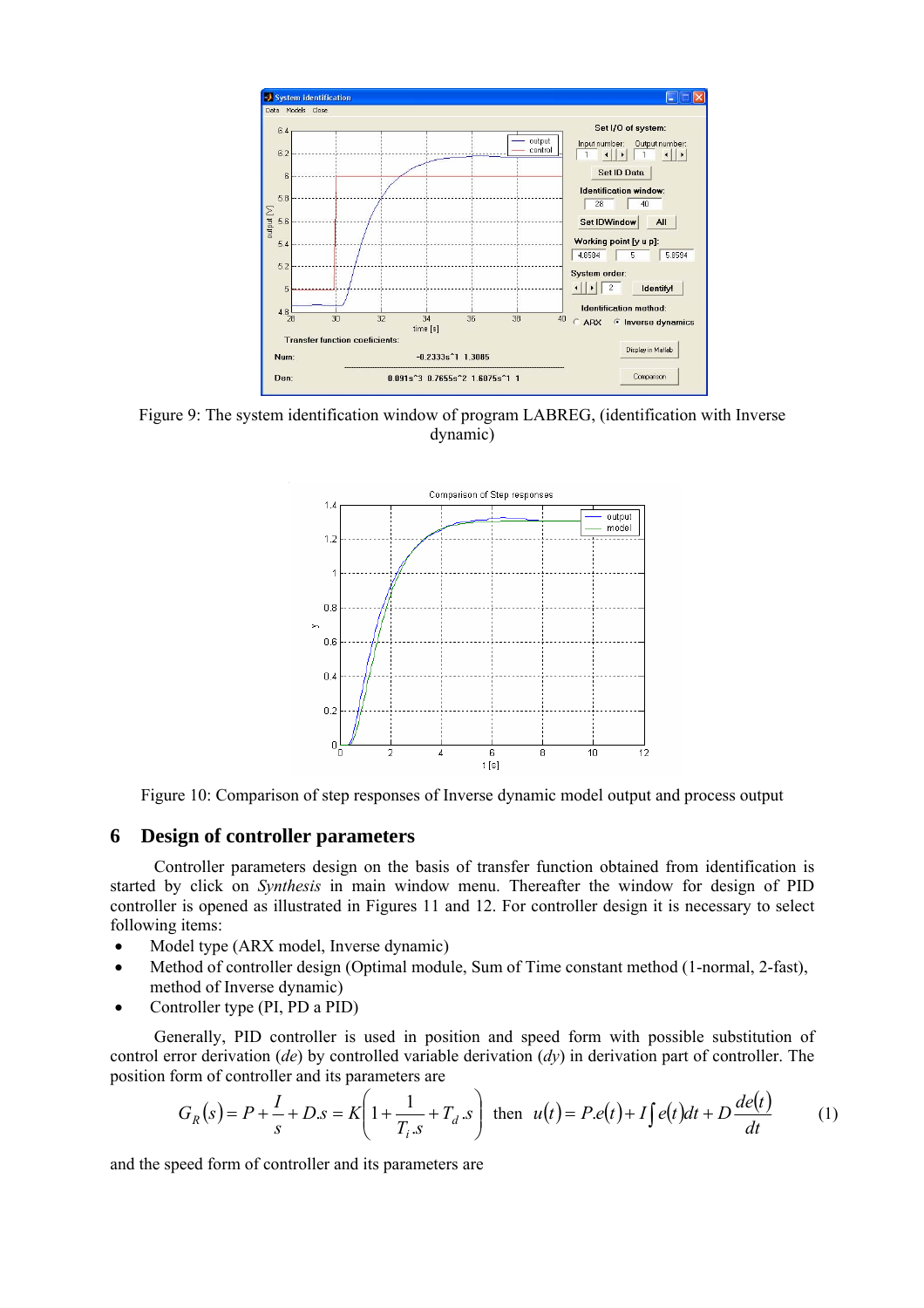

Figure 9: The system identification window of program LABREG, (identification with Inverse dynamic)



Figure 10: Comparison of step responses of Inverse dynamic model output and process output

### **6 Design of controller parameters**

Controller parameters design on the basis of transfer function obtained from identification is started by click on *Synthesis* in main window menu. Thereafter the window for design of PID controller is opened as illustrated in Figures 11 and 12. For controller design it is necessary to select following items:

- Model type (ARX model, Inverse dynamic)
- Method of controller design (Optimal module, Sum of Time constant method (1-normal, 2-fast), method of Inverse dynamic)
- Controller type (PI, PD a PID)

Generally, PID controller is used in position and speed form with possible substitution of control error derivation (*de*) by controlled variable derivation (*dy*) in derivation part of controller. The position form of controller and its parameters are

$$
G_R(s) = P + \frac{I}{s} + D.s = K\left(1 + \frac{1}{T_i \cdot s} + T_d \cdot s\right) \text{ then } u(t) = P.e(t) + I\int e(t)dt + D\frac{de(t)}{dt} \tag{1}
$$

and the speed form of controller and its parameters are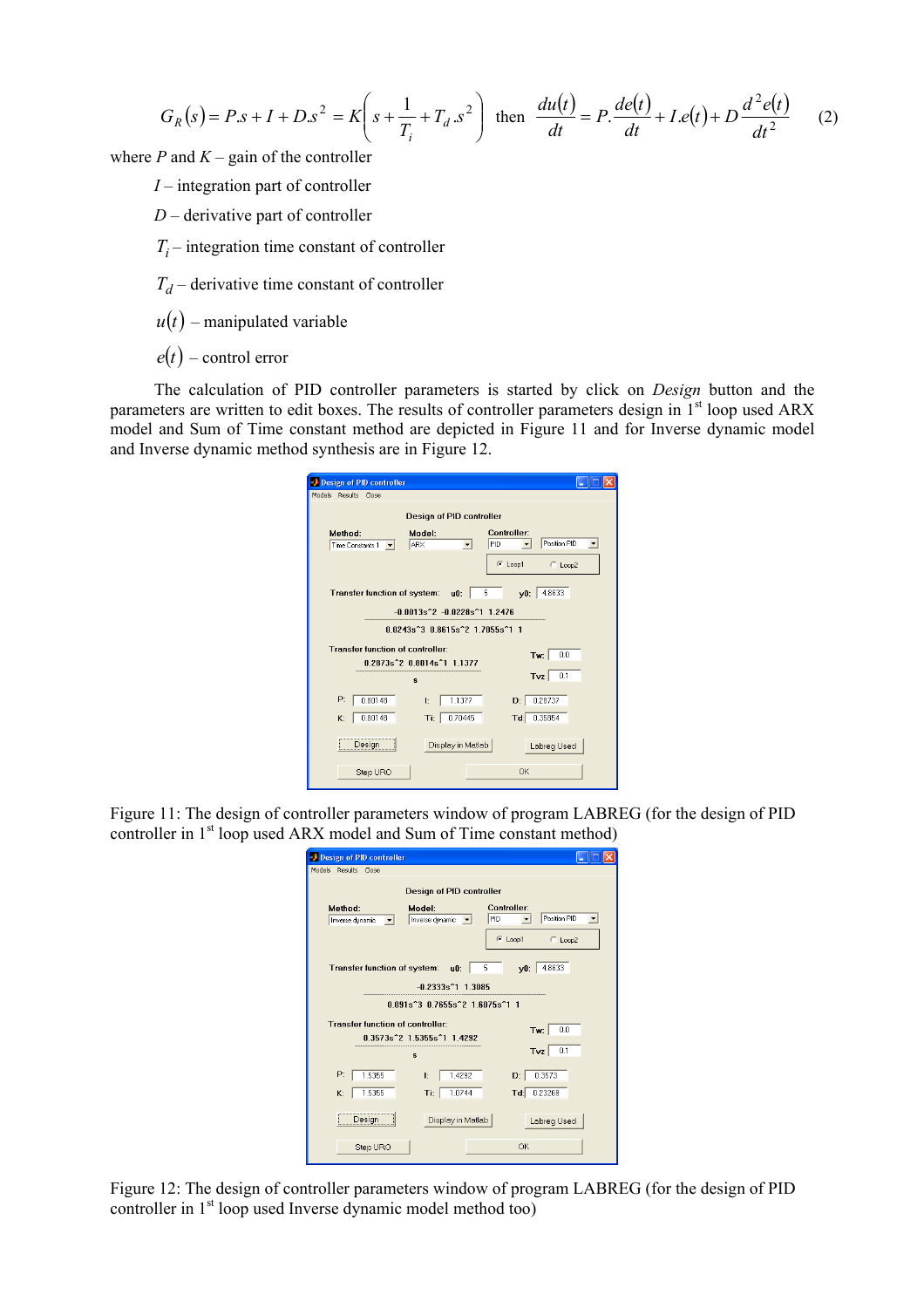$$
G_R(s) = P.s + I + D.s^2 = K\left(s + \frac{1}{T_i} + T_d.s^2\right) \text{ then } \frac{du(t)}{dt} = P.\frac{de(t)}{dt} + I.e(t) + D\frac{d^2e(t)}{dt^2} \tag{2}
$$

where  $P$  and  $K$  – gain of the controller

- *I* integration part of controller
- *D –* derivative part of controller

 $T_i$  – integration time constant of controller

 $T_d$  – derivative time constant of controller

- $u(t)$  manipulated variable
- $e(t)$  control error

The calculation of PID controller parameters is started by click on *Design* button and the parameters are written to edit boxes. The results of controller parameters design in 1<sup>st</sup> loop used ARX model and Sum of Time constant method are depicted in Figure 11 and for Inverse dynamic model and Inverse dynamic method synthesis are in Figure 12.

| <b>Design of PID controller</b>                                           |                    |                                                                       |  |  |
|---------------------------------------------------------------------------|--------------------|-----------------------------------------------------------------------|--|--|
| Models Results Close                                                      |                    |                                                                       |  |  |
| <b>Design of PID controller</b>                                           |                    |                                                                       |  |  |
| Method:<br>Time Constants 1                                               | Model:<br>ARX<br>▾ | <b>Controller:</b><br>Position PID<br>PID<br>$\overline{\phantom{a}}$ |  |  |
|                                                                           |                    | C Loop1<br>C Loop2                                                    |  |  |
| 4.8633<br>- 5<br><b>Transfer function of system:</b><br>$-$ u0:<br>$V0$ : |                    |                                                                       |  |  |
| $-0.0013s^2 - 0.0228s^1 1.2476$                                           |                    |                                                                       |  |  |
| 0.0243s^3 0.8615s^2 1.7055s^1 1                                           |                    |                                                                       |  |  |
| <b>Transfer function of controller:</b>                                   |                    | 0.0<br>Tw:                                                            |  |  |
| 0.2873s^2 0.8014s^1 1.1377                                                |                    |                                                                       |  |  |
| S                                                                         |                    | 0.1<br>Tvz                                                            |  |  |
| P:<br>0.80148                                                             | 1.1377<br>Ŀ.       | 0.28737<br>D:                                                         |  |  |
| 0.80148<br>K:                                                             | 0.70445<br>Ti:     | Td: 0.35854                                                           |  |  |
| Desian                                                                    | Display in Matlab  | Labreg Used                                                           |  |  |
| Step URO                                                                  |                    | OK                                                                    |  |  |

Figure 11: The design of controller parameters window of program LABREG (for the design of PID controller in 1<sup>st</sup> loop used ARX model and Sum of Time constant method)

| <b>J</b> Design of PID controller                       |                             |                                           |  |  |
|---------------------------------------------------------|-----------------------------|-------------------------------------------|--|--|
| Models Results Close                                    |                             |                                           |  |  |
| <b>Design of PID controller</b>                         |                             |                                           |  |  |
| Method:<br>Inverse dynamic                              | Model:<br>Inverse dynamic v | <b>Controller:</b><br>Position PID<br>PID |  |  |
|                                                         |                             | $C$ Loop1<br>C Loop2                      |  |  |
| 4.8633<br>-5<br>Transfer function of system: u0:<br>y0: |                             |                                           |  |  |
| $-0.2333s$ <sup>2</sup> 1 1.3085<br>                    |                             |                                           |  |  |
| 0.091s^3 0.7655s^2 1.6075s^1 1                          |                             |                                           |  |  |
| <b>Transfer function of controller:</b><br>0.0<br>Tw:   |                             |                                           |  |  |
| 0.3573s <sup>2</sup> 1.5355s <sup>2</sup> 1 1.4292      |                             |                                           |  |  |
| s                                                       |                             | Tvz<br>0.1                                |  |  |
| P:<br>1.5355                                            | 1.4292<br>I:                | 0.3573<br>D:                              |  |  |
| 1.5355<br>K:                                            | 1.0744<br>Ti:               | 0.23269<br>$Td$ :                         |  |  |
| <u>Design</u>                                           | Display in Matlab           | Labreg Used                               |  |  |
| Step URO                                                |                             | OK                                        |  |  |

Figure 12: The design of controller parameters window of program LABREG (for the design of PID controller in  $1<sup>st</sup>$  loop used Inverse dynamic model method too)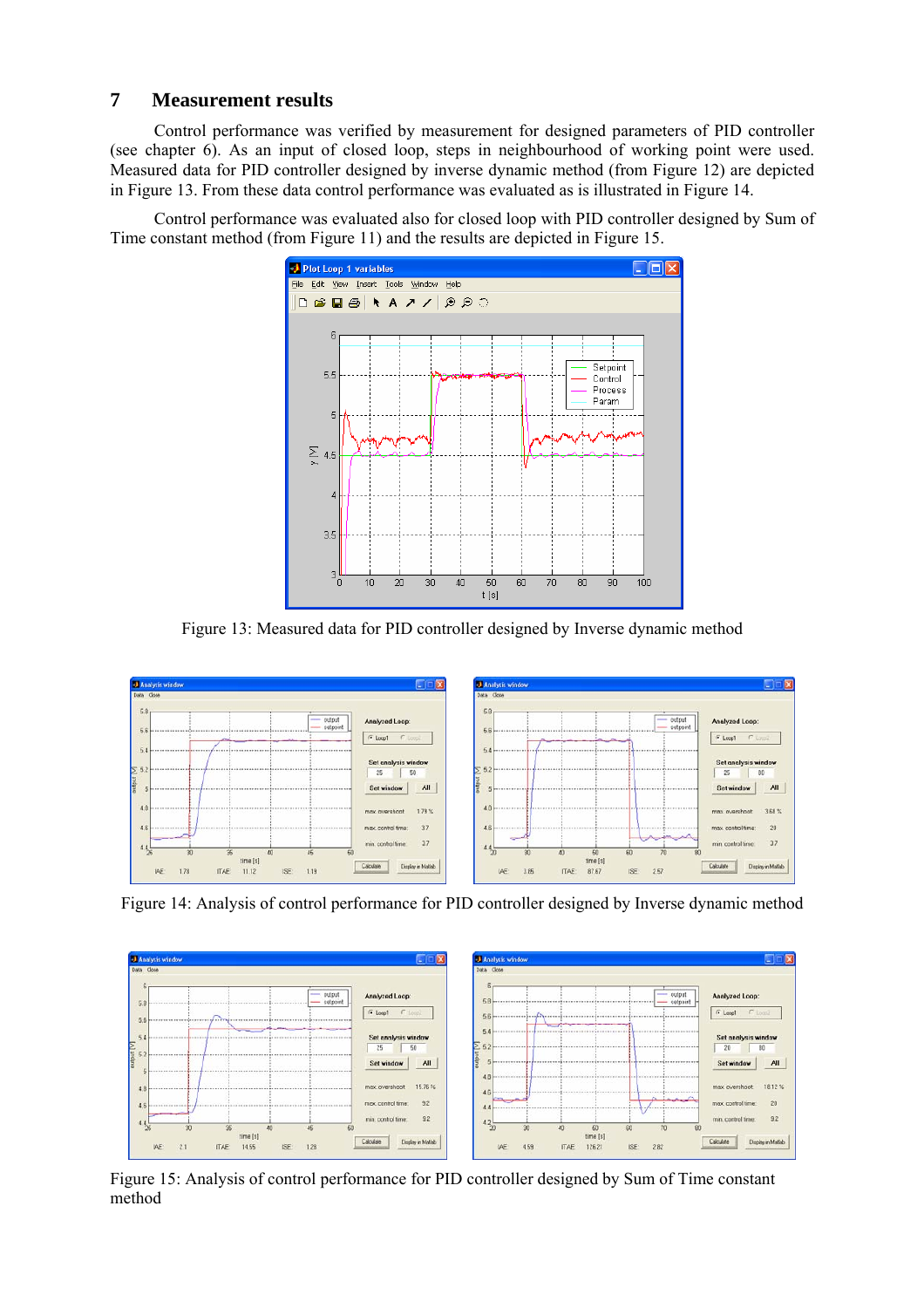# **7 Measurement results**

Control performance was verified by measurement for designed parameters of PID controller (see chapter 6). As an input of closed loop, steps in neighbourhood of working point were used. Measured data for PID controller designed by inverse dynamic method (from Figure 12) are depicted in Figure 13. From these data control performance was evaluated as is illustrated in Figure 14.

Control performance was evaluated also for closed loop with PID controller designed by Sum of Time constant method (from Figure 11) and the results are depicted in Figure 15.



Figure 13: Measured data for PID controller designed by Inverse dynamic method



Figure 14: Analysis of control performance for PID controller designed by Inverse dynamic method



Figure 15: Analysis of control performance for PID controller designed by Sum of Time constant method